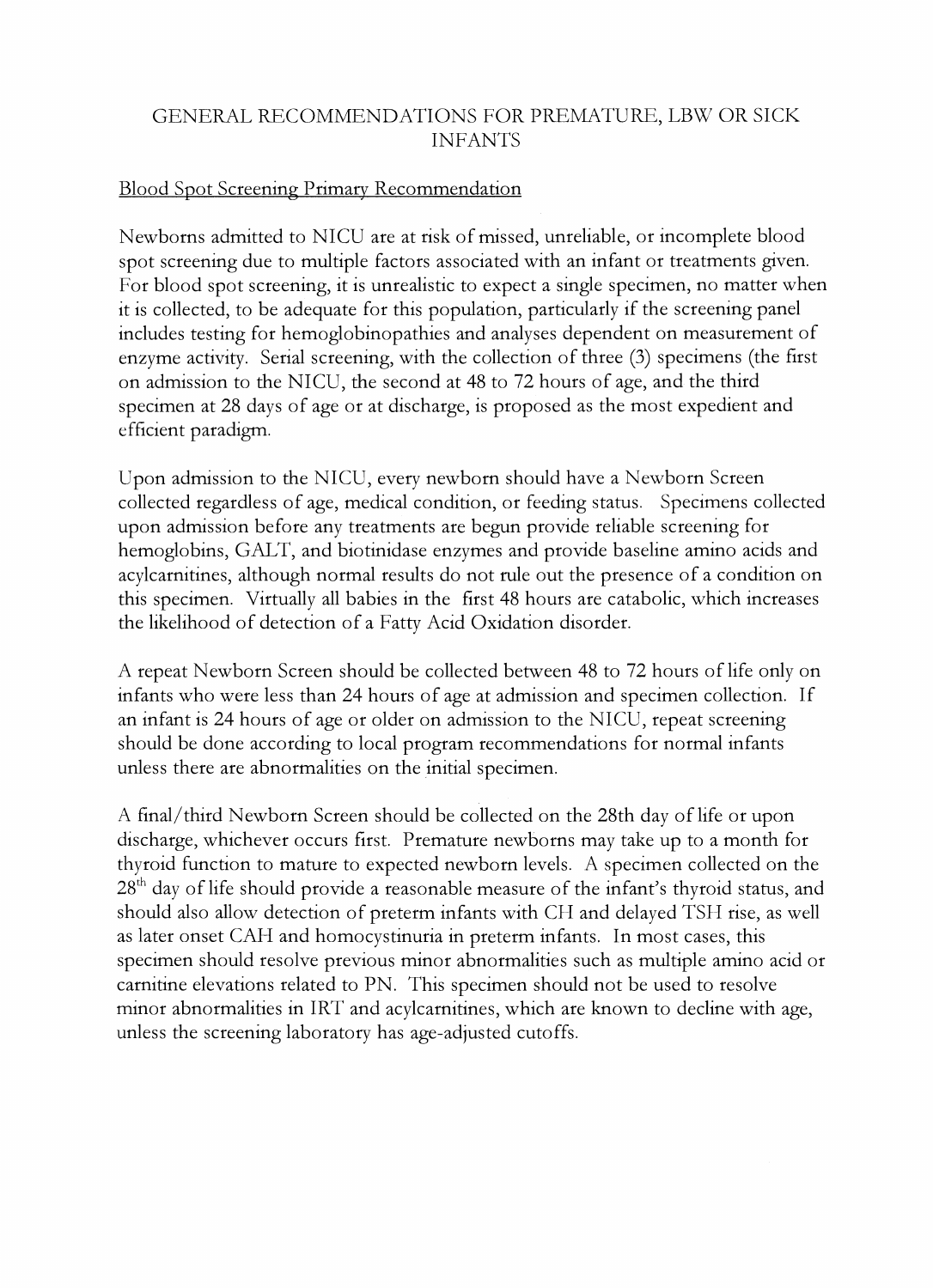## GENERAL RECOMMENDATIONS FOR PREMATURE, LBW OR SICK **INFANTS**

## Blood Spot Screening Primary Recommendation

Newborns admitted to NTCU are at risk of missed, unreliable, or incomplete blood spot screening due to multiple factors associated with an infant or treatments given. For blood spot screening, it is unrealistic to expect a single specimen, no matter when it is collected, to be adequate for this population, particularly if the screening panel includes testing for hemoglobinopathies and analyses dependent on measurement of enzyme activity. Serial screening, with the collection of three (3) specimens (the first on admission to the NTCU, the second at 48 to 72 hours of age, and the third specimen at 28 days of age or at discharge, is proposed as the most expedient and efficient paradigm.

Upon admission to the NICU, every newborn should have a Newborn Screen collected regardless of age, medical condition, or feeding status. Specimens collccted upon admission before any treatments are begun provide reliable screening for hemoglobins, GALT, and biotinidase enzymes and provide baseline amino acids and acylcarnitincs, although normal results do not rule out the presence of a condition on this specimen. Virtually all babies in the first 48 hours are catabolic, which increases the likelihood of detection of a Fatty Acid Oxidation disorder.

A repeat Newborn Screen should be collected between 48 to 72 hours of life only on infants who were less than 24 hours of age at admission and specimen collection. If an infant is 24 hours of age or older on admission to the NICU, rcpeat screening should be done according to local program recommendations for normal infants unless there are abnormalities on the initial specimen.

A final/third Newborn Screen should be collected on the 28th day of life or upon dischargc, whichever occurs first. Premature newborns may take up to a month for thyroid function to mature to expected newborn levels. A specimen collected on the  $28<sup>th</sup>$  day of life should provide a reasonable measure of the infant's thyroid status, and should also allow detection of preterm infants with CH and delayed TSH rise, as well as later onset CAH and homocystinuria in preterm infants. In most cases, this specimen should resolve previous minor abnormalities such as multiple amino acid or carnitine elevations related to PN. This specimen should not be used to resolve minor abnormalities in IRT and acylcarnitines, which are known to decline with age, unless the screening laboratory has age-adjusted cutoffs.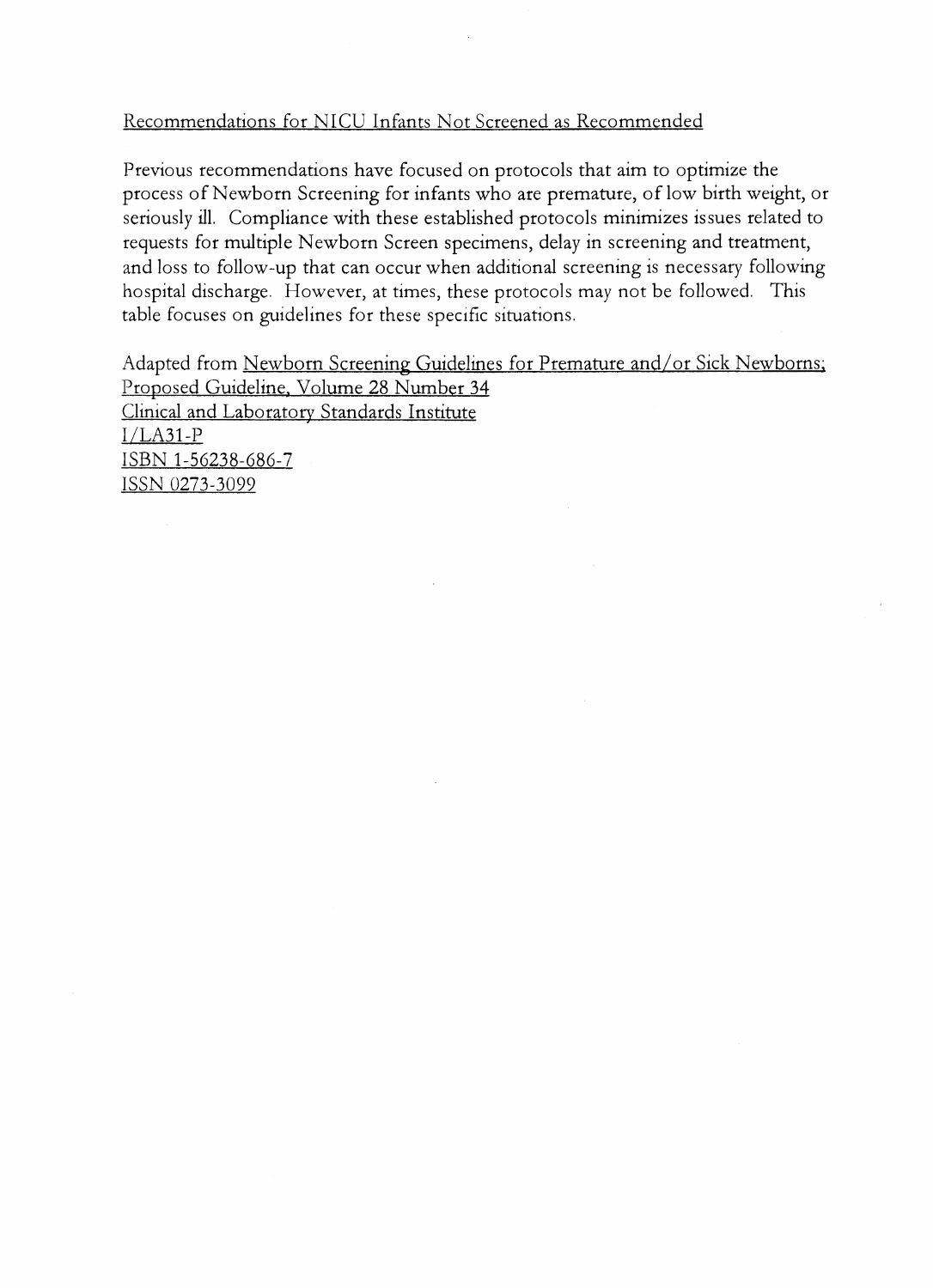## Recommendations for NICU Infants Not Screened as Recommended

Previous recommendations have focused on protocols that aim to optimize the process of Newborn Screening for infants who are premature, of low birth weight, or seriously ill. Compliance with these established protocols minimizes issues related to requests for multiple Newborn Screen specimens, delay in screening and treatment, and loss to follow-up that can occur when additional screening is necessary following hospital discharge. However, at times, these protocols may not be followed. This table focuses on guidelines for these specific situations.

Adapted from Newborn Screening Guidelines for Premature and/or Sick Newborns; Proposed Guideline. Volume 28 Number 34 Clinical and Laboratory Standards Institute  $I/LA31-P$ ISBN 1-56238-686-7 ISSN 0273-3099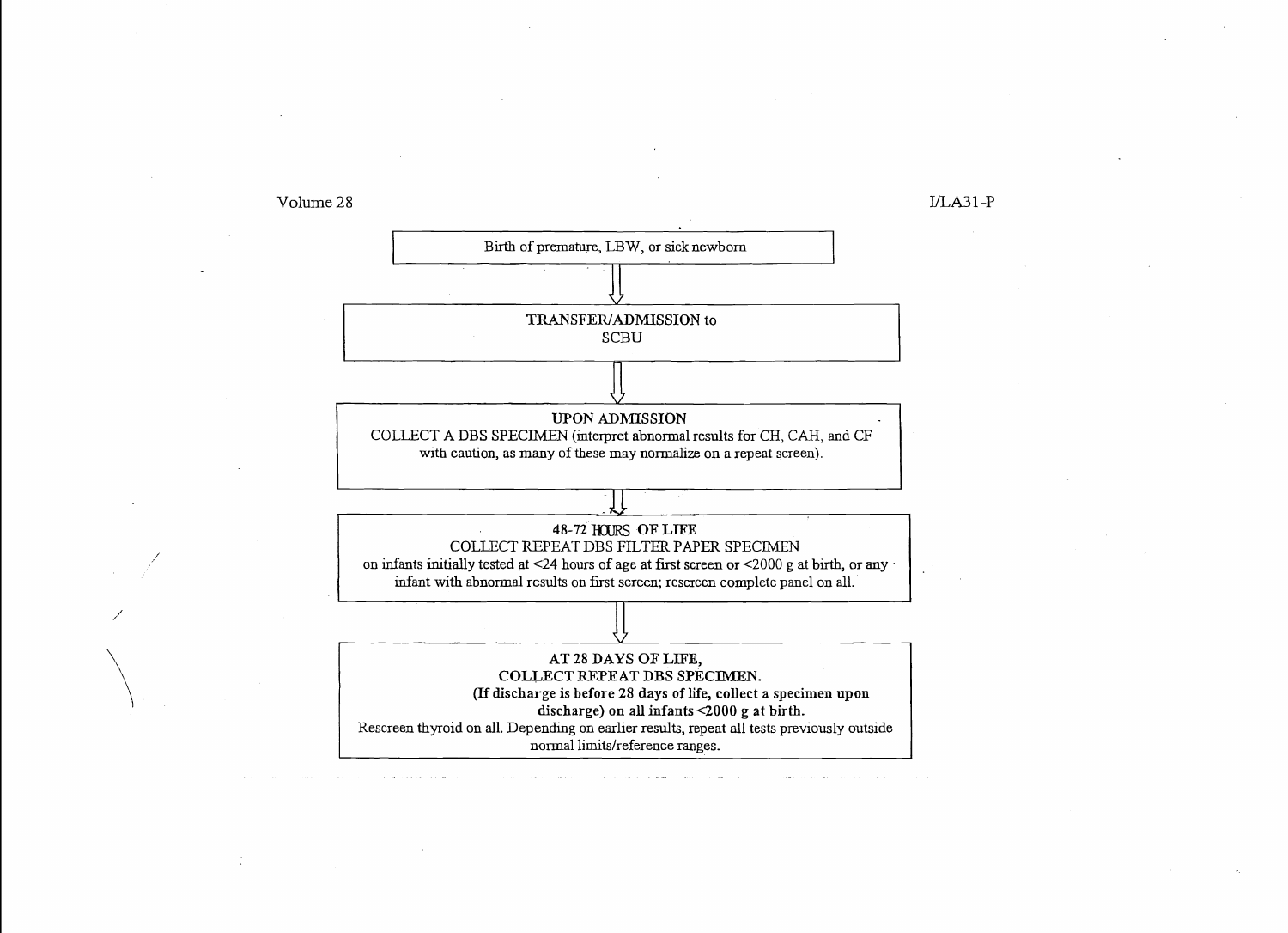